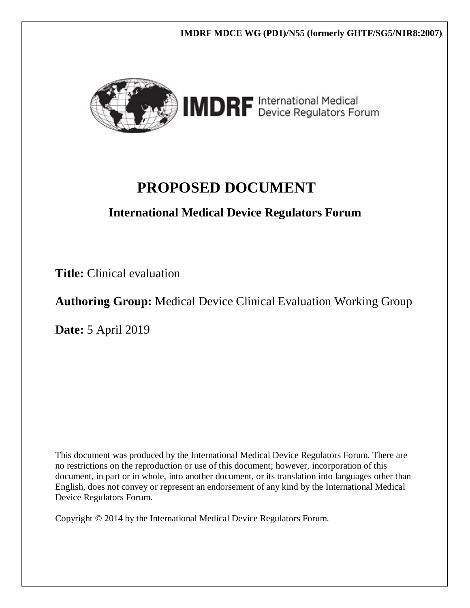

**IMDRF MDCE WG (PD1)/N55 (formerly GHTF/SG5/N1R8:2007)** 

# **PROPOSED DOCUMENT**

# **International Medical Device Regulators Forum**

**Title:** Clinical evaluation

**Authoring Group:** Medical Device Clinical Evaluation Working Group

**Date:** 5 April 2019

This document was produced by the International Medical Device Regulators Forum. There are no restrictions on the reproduction or use of this document; however, incorporation of this document, in part or in whole, into another document, or its translation into languages other than English, does not convey or represent an endorsement of any kind by the International Medical Device Regulators Forum.

Copyright © 2014 by the International Medical Device Regulators Forum.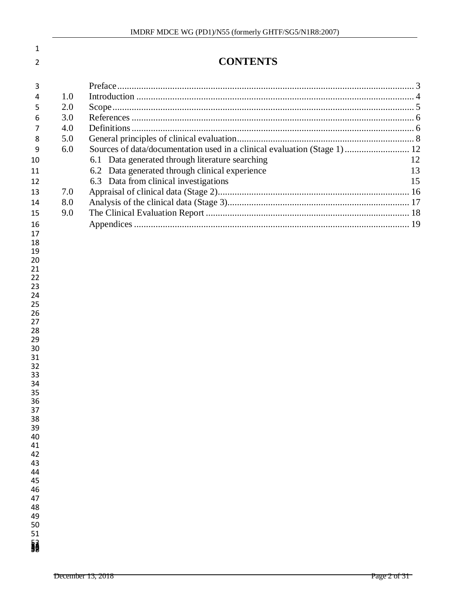| 1              |     |                                                                          |    |
|----------------|-----|--------------------------------------------------------------------------|----|
| 2              |     | <b>CONTENTS</b>                                                          |    |
| 3              |     |                                                                          |    |
| 4              | 1.0 |                                                                          |    |
| 5              | 2.0 |                                                                          |    |
| 6              | 3.0 |                                                                          |    |
| 7              | 4.0 |                                                                          |    |
| 8              | 5.0 |                                                                          |    |
| 9              | 6.0 | Sources of data/documentation used in a clinical evaluation (Stage 1) 12 |    |
| 10             |     | 6.1 Data generated through literature searching                          | 12 |
| 11             |     | Data generated through clinical experience<br>6.2                        | 13 |
| 12             |     | Data from clinical investigations<br>6.3                                 | 15 |
| 13             | 7.0 |                                                                          |    |
| 14             | 8.0 |                                                                          |    |
| 15             | 9.0 |                                                                          |    |
| 16             |     |                                                                          |    |
| 17             |     |                                                                          |    |
| 18             |     |                                                                          |    |
| 19             |     |                                                                          |    |
| 20<br>21       |     |                                                                          |    |
| 22             |     |                                                                          |    |
| 23             |     |                                                                          |    |
| 24             |     |                                                                          |    |
| 25             |     |                                                                          |    |
| 26<br>27       |     |                                                                          |    |
| 28             |     |                                                                          |    |
| 29             |     |                                                                          |    |
| 30             |     |                                                                          |    |
| 31             |     |                                                                          |    |
| 32<br>33       |     |                                                                          |    |
| 34             |     |                                                                          |    |
| 35             |     |                                                                          |    |
| 36             |     |                                                                          |    |
| 37             |     |                                                                          |    |
| 38<br>39       |     |                                                                          |    |
| 40             |     |                                                                          |    |
| 41             |     |                                                                          |    |
| 42             |     |                                                                          |    |
| 43             |     |                                                                          |    |
| 44<br>45       |     |                                                                          |    |
| 46             |     |                                                                          |    |
| 47             |     |                                                                          |    |
| 48             |     |                                                                          |    |
| 49             |     |                                                                          |    |
| 50<br>51       |     |                                                                          |    |
| <b>January</b> |     |                                                                          |    |
|                |     |                                                                          |    |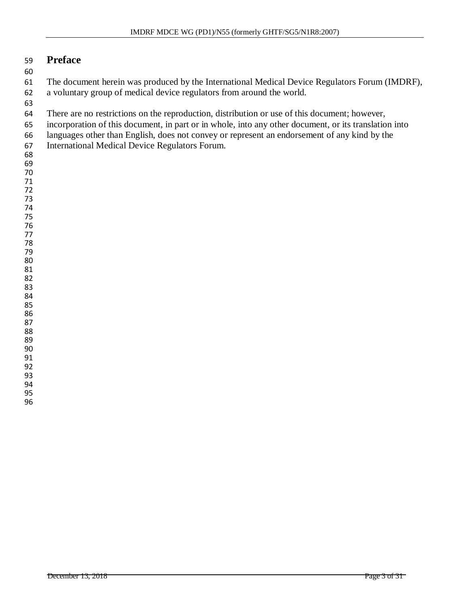#### <span id="page-2-0"></span>**Preface**

 The document herein was produced by the International Medical Device Regulators Forum (IMDRF), a voluntary group of medical device regulators from around the world.

- There are no restrictions on the reproduction, distribution or use of this document; however,
- incorporation of this document, in part or in whole, into any other document, or its translation into
- languages other than English, does not convey or represent an endorsement of any kind by the
- International Medical Device Regulators Forum.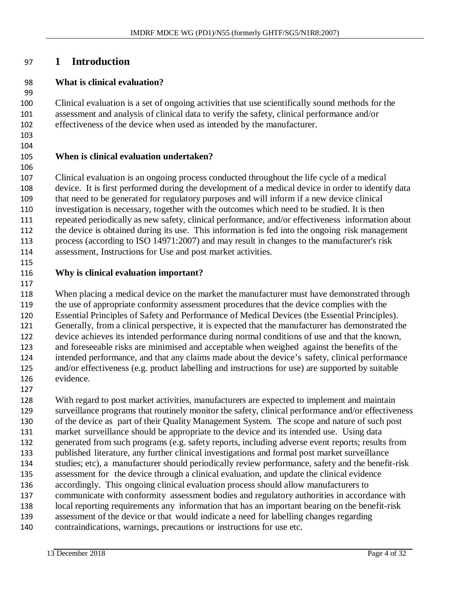#### **1 Introduction**

#### **What is clinical evaluation?**

 Clinical evaluation is a set of ongoing activities that use scientifically sound methods for the assessment and analysis of clinical data to verify the safety, clinical performance and/or effectiveness of the device when used as intended by the manufacturer.

#### **When is clinical evaluation undertaken?**

 Clinical evaluation is an ongoing process conducted throughout the life cycle of a medical device. It is first performed during the development of a medical device in order to identify data that need to be generated for regulatory purposes and will inform if a new device clinical investigation is necessary, together with the outcomes which need to be studied. It is then repeated periodically as new safety, clinical performance, and/or effectiveness information about the device is obtained during its use. This information is fed into the ongoing risk management process (according to ISO 14971:2007) and may result in changes to the manufacturer's risk assessment, Instructions for Use and post market activities.

#### **Why is clinical evaluation important?**

118 When placing a medical device on the market the manufacturer must have demonstrated through the use of appropriate conformity assessment procedures that the device complies with the Essential Principles of Safety and Performance of Medical Devices (the Essential Principles). Generally, from a clinical perspective, it is expected that the manufacturer has demonstrated the device achieves its intended performance during normal conditions of use and that the known, and foreseeable risks are minimised and acceptable when weighed against the benefits of the intended performance, and that any claims made about the device's safety, clinical performance and/or effectiveness (e.g. product labelling and instructions for use) are supported by suitable evidence.

 With regard to post market activities, manufacturers are expected to implement and maintain surveillance programs that routinely monitor the safety, clinical performance and/or effectiveness of the device as part of their Quality Management System. The scope and nature of such post market surveillance should be appropriate to the device and its intended use. Using data generated from such programs (e.g. safety reports, including adverse event reports; results from published literature, any further clinical investigations and formal post market surveillance studies; etc), a manufacturer should periodically review performance, safety and the benefit-risk assessment for the device through a clinical evaluation, and update the clinical evidence accordingly. This ongoing clinical evaluation process should allow manufacturers to communicate with conformity assessment bodies and regulatory authorities in accordance with local reporting requirements any information that has an important bearing on the benefit-risk assessment of the device or that would indicate a need for labelling changes regarding contraindications, warnings, precautions or instructions for use etc.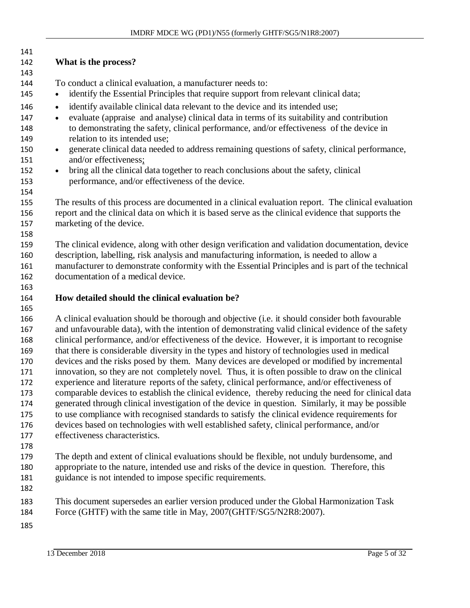| 141        |                                                                                                                                                                                                           |
|------------|-----------------------------------------------------------------------------------------------------------------------------------------------------------------------------------------------------------|
| 142        | What is the process?                                                                                                                                                                                      |
| 143        |                                                                                                                                                                                                           |
| 144        | To conduct a clinical evaluation, a manufacturer needs to:                                                                                                                                                |
| 145        | identify the Essential Principles that require support from relevant clinical data;<br>$\bullet$                                                                                                          |
| 146        | identify available clinical data relevant to the device and its intended use;<br>$\bullet$                                                                                                                |
| 147        | evaluate (appraise and analyse) clinical data in terms of its suitability and contribution<br>$\bullet$                                                                                                   |
| 148        | to demonstrating the safety, clinical performance, and/or effectiveness of the device in                                                                                                                  |
| 149        | relation to its intended use;                                                                                                                                                                             |
| 150        | generate clinical data needed to address remaining questions of safety, clinical performance,<br>$\bullet$                                                                                                |
| 151        | and/or effectiveness;                                                                                                                                                                                     |
| 152        | bring all the clinical data together to reach conclusions about the safety, clinical<br>$\bullet$                                                                                                         |
| 153        | performance, and/or effectiveness of the device.                                                                                                                                                          |
| 154        |                                                                                                                                                                                                           |
| 155<br>156 | The results of this process are documented in a clinical evaluation report. The clinical evaluation<br>report and the clinical data on which it is based serve as the clinical evidence that supports the |
| 157        | marketing of the device.                                                                                                                                                                                  |
| 158        |                                                                                                                                                                                                           |
| 159        | The clinical evidence, along with other design verification and validation documentation, device                                                                                                          |
| 160        | description, labelling, risk analysis and manufacturing information, is needed to allow a                                                                                                                 |
| 161        | manufacturer to demonstrate conformity with the Essential Principles and is part of the technical                                                                                                         |
| 162        | documentation of a medical device.                                                                                                                                                                        |
| 163        |                                                                                                                                                                                                           |
| 164        | How detailed should the clinical evaluation be?                                                                                                                                                           |
| 165        |                                                                                                                                                                                                           |
| 166        | A clinical evaluation should be thorough and objective (i.e. it should consider both favourable                                                                                                           |
| 167        | and unfavourable data), with the intention of demonstrating valid clinical evidence of the safety                                                                                                         |
| 168        | clinical performance, and/or effectiveness of the device. However, it is important to recognise                                                                                                           |
| 169        | that there is considerable diversity in the types and history of technologies used in medical                                                                                                             |
| 170<br>171 | devices and the risks posed by them. Many devices are developed or modified by incremental                                                                                                                |
| 172        | innovation, so they are not completely novel. Thus, it is often possible to draw on the clinical<br>experience and literature reports of the safety, clinical performance, and/or effectiveness of        |
| 173        | comparable devices to establish the clinical evidence, thereby reducing the need for clinical data                                                                                                        |
| 174        | generated through clinical investigation of the device in question. Similarly, it may be possible                                                                                                         |
| 175        | to use compliance with recognised standards to satisfy the clinical evidence requirements for                                                                                                             |
| 176        | devices based on technologies with well established safety, clinical performance, and/or                                                                                                                  |
| 177        | effectiveness characteristics.                                                                                                                                                                            |
| 178        |                                                                                                                                                                                                           |
| 179        | The depth and extent of clinical evaluations should be flexible, not unduly burdensome, and                                                                                                               |
| 180        | appropriate to the nature, intended use and risks of the device in question. Therefore, this                                                                                                              |
| 181        | guidance is not intended to impose specific requirements.                                                                                                                                                 |
| 182        |                                                                                                                                                                                                           |
| 183        | This document supersedes an earlier version produced under the Global Harmonization Task                                                                                                                  |
| 184        | Force (GHTF) with the same title in May, 2007(GHTF/SG5/N2R8:2007).                                                                                                                                        |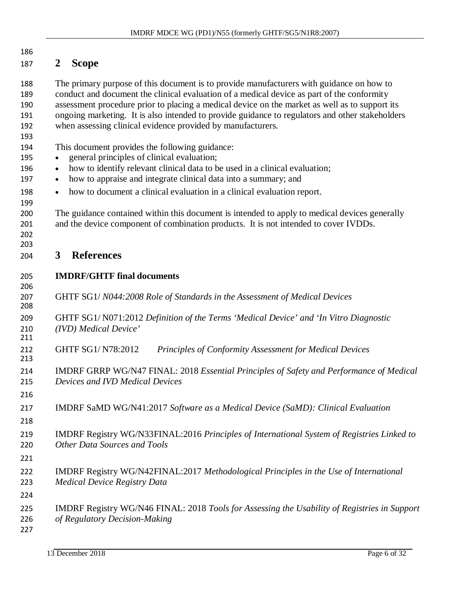| 186<br>187                             | <b>Scope</b><br>2                                                                                                                                                                                                                                                                                                                                                                                                                                          |
|----------------------------------------|------------------------------------------------------------------------------------------------------------------------------------------------------------------------------------------------------------------------------------------------------------------------------------------------------------------------------------------------------------------------------------------------------------------------------------------------------------|
| 188<br>189<br>190<br>191<br>192<br>193 | The primary purpose of this document is to provide manufacturers with guidance on how to<br>conduct and document the clinical evaluation of a medical device as part of the conformity<br>assessment procedure prior to placing a medical device on the market as well as to support its<br>ongoing marketing. It is also intended to provide guidance to regulators and other stakeholders<br>when assessing clinical evidence provided by manufacturers. |
| 194<br>195<br>196                      | This document provides the following guidance:<br>general principles of clinical evaluation;<br>how to identify relevant clinical data to be used in a clinical evaluation;<br>$\bullet$                                                                                                                                                                                                                                                                   |
| 197                                    | how to appraise and integrate clinical data into a summary; and<br>٠                                                                                                                                                                                                                                                                                                                                                                                       |
| 198<br>199                             | how to document a clinical evaluation in a clinical evaluation report.<br>$\bullet$                                                                                                                                                                                                                                                                                                                                                                        |
| 200<br>201<br>202<br>203               | The guidance contained within this document is intended to apply to medical devices generally<br>and the device component of combination products. It is not intended to cover IVDDs.                                                                                                                                                                                                                                                                      |
| 204                                    | <b>References</b><br>3                                                                                                                                                                                                                                                                                                                                                                                                                                     |
| 205                                    | <b>IMDRF/GHTF final documents</b>                                                                                                                                                                                                                                                                                                                                                                                                                          |
| 206<br>207<br>208                      | GHTF SG1/N044:2008 Role of Standards in the Assessment of Medical Devices                                                                                                                                                                                                                                                                                                                                                                                  |
| 209<br>210<br>211                      | GHTF SG1/N071:2012 Definition of the Terms 'Medical Device' and 'In Vitro Diagnostic<br>(IVD) Medical Device'                                                                                                                                                                                                                                                                                                                                              |
| 212<br>213                             | GHTF SG1/N78:2012<br>Principles of Conformity Assessment for Medical Devices                                                                                                                                                                                                                                                                                                                                                                               |
| 214<br>215<br>216                      | IMDRF GRRP WG/N47 FINAL: 2018 Essential Principles of Safety and Performance of Medical<br>Devices and IVD Medical Devices                                                                                                                                                                                                                                                                                                                                 |
| 217<br>218                             | IMDRF SaMD WG/N41:2017 Software as a Medical Device (SaMD): Clinical Evaluation                                                                                                                                                                                                                                                                                                                                                                            |
| 219<br>220                             | IMDRF Registry WG/N33FINAL:2016 Principles of International System of Registries Linked to<br>Other Data Sources and Tools                                                                                                                                                                                                                                                                                                                                 |
| 221<br>222                             | IMDRF Registry WG/N42FINAL:2017 Methodological Principles in the Use of International                                                                                                                                                                                                                                                                                                                                                                      |
| 223                                    | <b>Medical Device Registry Data</b>                                                                                                                                                                                                                                                                                                                                                                                                                        |
| 224<br>225                             | IMDRF Registry WG/N46 FINAL: 2018 Tools for Assessing the Usability of Registries in Support                                                                                                                                                                                                                                                                                                                                                               |
| 226<br>227                             | of Regulatory Decision-Making                                                                                                                                                                                                                                                                                                                                                                                                                              |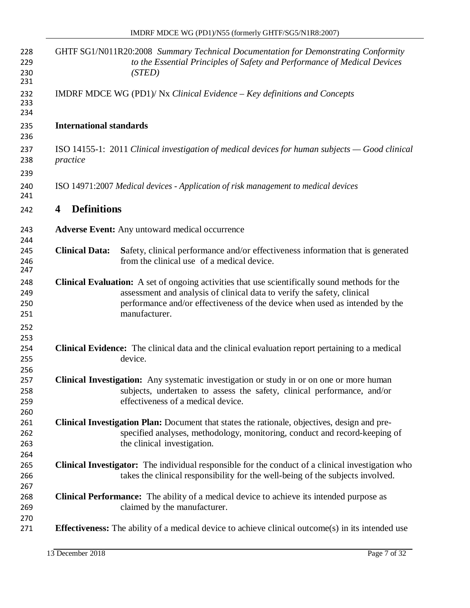| 228<br>229<br>230<br>231        |                                | GHTF SG1/N011R20:2008 Summary Technical Documentation for Demonstrating Conformity<br>to the Essential Principles of Safety and Performance of Medical Devices<br>(STED)                                                                                                         |
|---------------------------------|--------------------------------|----------------------------------------------------------------------------------------------------------------------------------------------------------------------------------------------------------------------------------------------------------------------------------|
| 232<br>233<br>234               |                                | IMDRF MDCE WG (PD1)/ Nx Clinical Evidence $-$ Key definitions and Concepts                                                                                                                                                                                                       |
| 235<br>236                      | <b>International standards</b> |                                                                                                                                                                                                                                                                                  |
| 237<br>238<br>239               | practice                       | ISO 14155-1: 2011 Clinical investigation of medical devices for human subjects $-$ Good clinical                                                                                                                                                                                 |
| 240<br>241                      |                                | ISO 14971:2007 Medical devices - Application of risk management to medical devices                                                                                                                                                                                               |
| 242                             | <b>Definitions</b><br>4        |                                                                                                                                                                                                                                                                                  |
| 243<br>244                      |                                | <b>Adverse Event:</b> Any untoward medical occurrence                                                                                                                                                                                                                            |
| 245<br>246<br>247               | <b>Clinical Data:</b>          | Safety, clinical performance and/or effectiveness information that is generated<br>from the clinical use of a medical device.                                                                                                                                                    |
| 248<br>249<br>250<br>251        |                                | <b>Clinical Evaluation:</b> A set of ongoing activities that use scientifically sound methods for the<br>assessment and analysis of clinical data to verify the safety, clinical<br>performance and/or effectiveness of the device when used as intended by the<br>manufacturer. |
| 252<br>253<br>254<br>255<br>256 |                                | Clinical Evidence: The clinical data and the clinical evaluation report pertaining to a medical<br>device.                                                                                                                                                                       |
| 257<br>258<br>259<br>260        |                                | Clinical Investigation: Any systematic investigation or study in or on one or more human<br>subjects, undertaken to assess the safety, clinical performance, and/or<br>effectiveness of a medical device.                                                                        |
| 261<br>262<br>263<br>264        |                                | <b>Clinical Investigation Plan:</b> Document that states the rationale, objectives, design and pre-<br>specified analyses, methodology, monitoring, conduct and record-keeping of<br>the clinical investigation.                                                                 |
| 265<br>266<br>267               |                                | <b>Clinical Investigator:</b> The individual responsible for the conduct of a clinical investigation who<br>takes the clinical responsibility for the well-being of the subjects involved.                                                                                       |
| 268<br>269                      |                                | <b>Clinical Performance:</b> The ability of a medical device to achieve its intended purpose as<br>claimed by the manufacturer.                                                                                                                                                  |
| 270<br>271                      |                                | <b>Effectiveness:</b> The ability of a medical device to achieve clinical outcome(s) in its intended use                                                                                                                                                                         |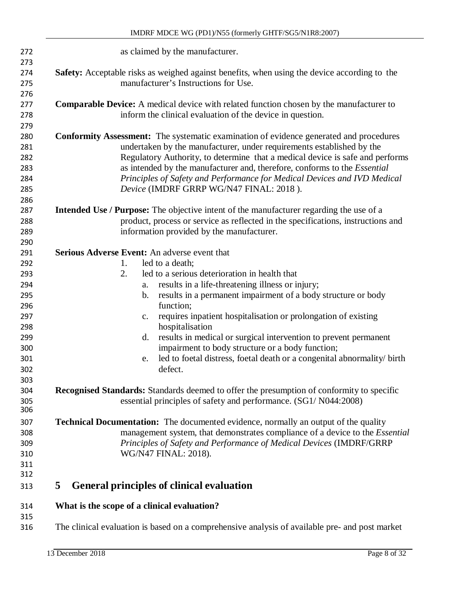| 272                                                                              | as claimed by the manufacturer.                                                                                                                                                                                                                                                                                                                                                                                                                                                                                                                                                                                   |
|----------------------------------------------------------------------------------|-------------------------------------------------------------------------------------------------------------------------------------------------------------------------------------------------------------------------------------------------------------------------------------------------------------------------------------------------------------------------------------------------------------------------------------------------------------------------------------------------------------------------------------------------------------------------------------------------------------------|
| 273<br>274<br>275                                                                | Safety: Acceptable risks as weighed against benefits, when using the device according to the<br>manufacturer's Instructions for Use.                                                                                                                                                                                                                                                                                                                                                                                                                                                                              |
| 276<br>277<br>278                                                                | <b>Comparable Device:</b> A medical device with related function chosen by the manufacturer to<br>inform the clinical evaluation of the device in question.                                                                                                                                                                                                                                                                                                                                                                                                                                                       |
| 279<br>280<br>281<br>282<br>283<br>284<br>285<br>286                             | <b>Conformity Assessment:</b> The systematic examination of evidence generated and procedures<br>undertaken by the manufacturer, under requirements established by the<br>Regulatory Authority, to determine that a medical device is safe and performs<br>as intended by the manufacturer and, therefore, conforms to the <i>Essential</i><br>Principles of Safety and Performance for Medical Devices and IVD Medical<br>Device (IMDRF GRRP WG/N47 FINAL: 2018).                                                                                                                                                |
| 287<br>288<br>289<br>290                                                         | <b>Intended Use / Purpose:</b> The objective intent of the manufacturer regarding the use of a<br>product, process or service as reflected in the specifications, instructions and<br>information provided by the manufacturer.                                                                                                                                                                                                                                                                                                                                                                                   |
| 291<br>292<br>293<br>294<br>295<br>296<br>297<br>298<br>299<br>300<br>301<br>302 | <b>Serious Adverse Event:</b> An adverse event that<br>led to a death;<br>1.<br>led to a serious deterioration in health that<br>2.<br>results in a life-threatening illness or injury;<br>a.<br>results in a permanent impairment of a body structure or body<br>b.<br>function;<br>requires inpatient hospitalisation or prolongation of existing<br>$C_{\bullet}$<br>hospitalisation<br>results in medical or surgical intervention to prevent permanent<br>d.<br>impairment to body structure or a body function;<br>led to foetal distress, foetal death or a congenital abnormality/ birth<br>e.<br>defect. |
| 303<br>304<br>305<br>306                                                         | Recognised Standards: Standards deemed to offer the presumption of conformity to specific<br>essential principles of safety and performance. (SG1/N044:2008)                                                                                                                                                                                                                                                                                                                                                                                                                                                      |
| 307<br>308<br>309<br>310<br>311<br>312                                           | <b>Technical Documentation:</b> The documented evidence, normally an output of the quality<br>management system, that demonstrates compliance of a device to the <i>Essential</i><br>Principles of Safety and Performance of Medical Devices (IMDRF/GRRP<br>WG/N47 FINAL: 2018).                                                                                                                                                                                                                                                                                                                                  |
| 313                                                                              | 5<br>General principles of clinical evaluation                                                                                                                                                                                                                                                                                                                                                                                                                                                                                                                                                                    |
| 314<br>315<br>316                                                                | What is the scope of a clinical evaluation?<br>The clinical evaluation is based on a comprehensive analysis of available pre- and post market                                                                                                                                                                                                                                                                                                                                                                                                                                                                     |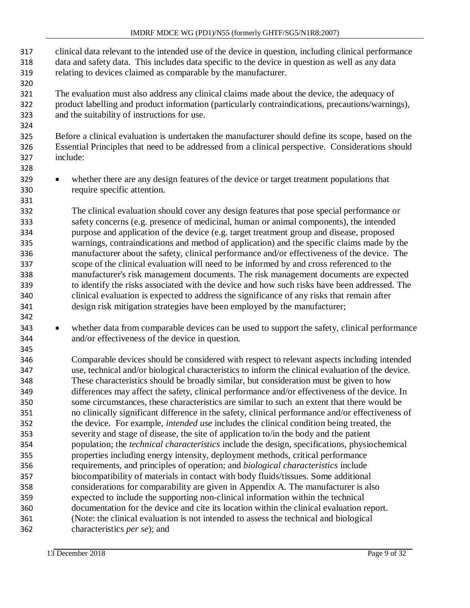- clinical data relevant to the intended use of the device in question, including clinical performance data and safety data. This includes data specific to the device in question as well as any data relating to devices claimed as comparable by the manufacturer.
- The evaluation must also address any clinical claims made about the device, the adequacy of product labelling and product information (particularly contraindications, precautions/warnings), and the suitability of instructions for use.
- Before a clinical evaluation is undertaken the manufacturer should define its scope, based on the Essential Principles that need to be addressed from a clinical perspective. Considerations should include:
- <sup>329</sup> whether there are any design features of the device or target treatment populations that require specific attention.
- The clinical evaluation should cover any design features that pose special performance or safety concerns (e.g. presence of medicinal, human or animal components), the intended purpose and application of the device (e.g. target treatment group and disease, proposed warnings, contraindications and method of application) and the specific claims made by the manufacturer about the safety, clinical performance and/or effectiveness of the device. The scope of the clinical evaluation will need to be informed by and cross referenced to the manufacturer's risk management documents. The risk management documents are expected to identify the risks associated with the device and how such risks have been addressed. The clinical evaluation is expected to address the significance of any risks that remain after design risk mitigation strategies have been employed by the manufacturer;
- whether data from comparable devices can be used to support the safety, clinical performance and/or effectiveness of the device in question.
- Comparable devices should be considered with respect to relevant aspects including intended use, technical and/or biological characteristics to inform the clinical evaluation of the device. These characteristics should be broadly similar, but consideration must be given to how differences may affect the safety, clinical performance and/or effectiveness of the device. In some circumstances, these characteristics are similar to such an extent that there would be no clinically significant difference in the safety, clinical performance and/or effectiveness of the device. For example, *intended use* includes the clinical condition being treated, the severity and stage of disease, the site of application to/in the body and the patient population; the *technical characteristics* include the design, specifications, physiochemical properties including energy intensity, deployment methods, critical performance requirements, and principles of operation; and *biological characteristics* include biocompatibility of materials in contact with body fluids/tissues. Some additional considerations for comparability are given in Appendix A. The manufacturer is also expected to include the supporting non-clinical information within the technical documentation for the device and cite its location within the clinical evaluation report. (Note: the clinical evaluation is not intended to assess the technical and biological characteristics *per se*); and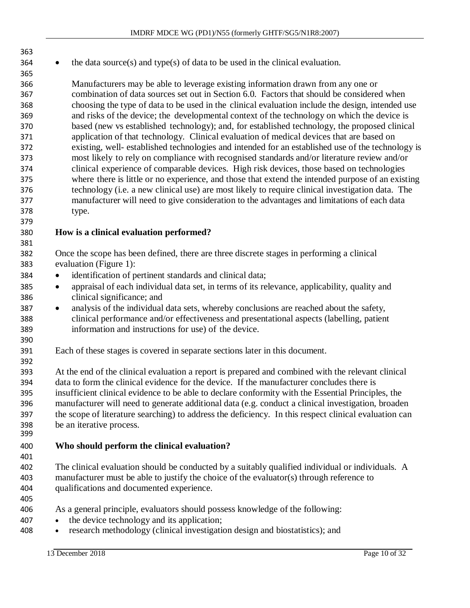364 • the data source(s) and type(s) of data to be used in the clinical evaluation.

 Manufacturers may be able to leverage existing information drawn from any one or combination of data sources set out in Section 6.0. Factors that should be considered when choosing the type of data to be used in the clinical evaluation include the design, intended use and risks of the device; the developmental context of the technology on which the device is based (new vs established technology); and, for established technology, the proposed clinical application of that technology. Clinical evaluation of medical devices that are based on existing, well- established technologies and intended for an established use of the technology is most likely to rely on compliance with recognised standards and/or literature review and/or clinical experience of comparable devices. High risk devices, those based on technologies where there is little or no experience, and those that extend the intended purpose of an existing technology (i.e. a new clinical use) are most likely to require clinical investigation data. The manufacturer will need to give consideration to the advantages and limitations of each data type.

#### **How is a clinical evaluation performed?**

 Once the scope has been defined, there are three discrete stages in performing a clinical evaluation (Figure 1):

- identification of pertinent standards and clinical data;
- appraisal of each individual data set, in terms of its relevance, applicability, quality and clinical significance; and
- analysis of the individual data sets, whereby conclusions are reached about the safety, clinical performance and/or effectiveness and presentational aspects (labelling, patient information and instructions for use) of the device.
- Each of these stages is covered in separate sections later in this document.

 At the end of the clinical evaluation a report is prepared and combined with the relevant clinical data to form the clinical evidence for the device. If the manufacturer concludes there is insufficient clinical evidence to be able to declare conformity with the Essential Principles, the manufacturer will need to generate additional data (e.g. conduct a clinical investigation, broaden the scope of literature searching) to address the deficiency. In this respect clinical evaluation can be an iterative process.

- **Who should perform the clinical evaluation?**
- The clinical evaluation should be conducted by a suitably qualified individual or individuals. A manufacturer must be able to justify the choice of the evaluator(s) through reference to qualifications and documented experience.
- 

- As a general principle, evaluators should possess knowledge of the following:
- the device technology and its application;
- research methodology (clinical investigation design and biostatistics); and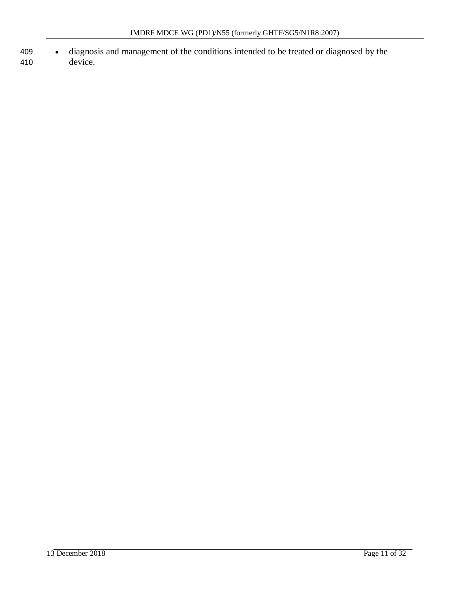- 409 diagnosis and management of the conditions intended to be treated or diagnosed by the
- device.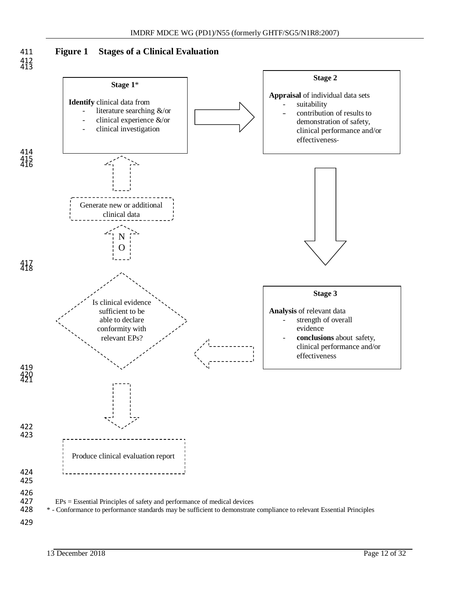



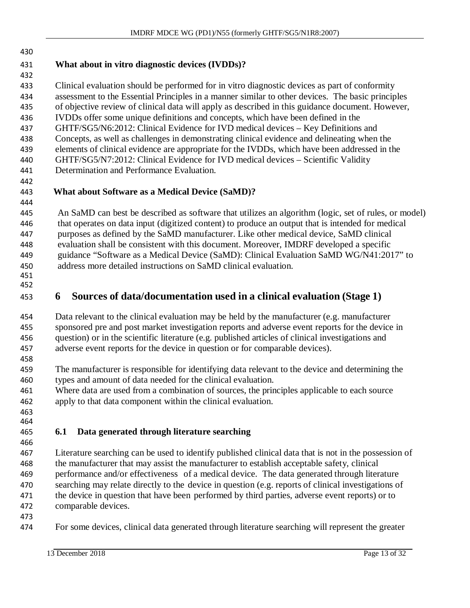## **What about in vitro diagnostic devices (IVDDs)?**

 Clinical evaluation should be performed for in vitro diagnostic devices as part of conformity assessment to the Essential Principles in a manner similar to other devices. The basic principles of objective review of clinical data will apply as described in this guidance document. However, IVDDs offer some unique definitions and concepts, which have been defined in the GHTF/SG5/N6:2012: Clinical Evidence for IVD medical devices – Key Definitions and Concepts, as well as challenges in demonstrating clinical evidence and delineating when the elements of clinical evidence are appropriate for the IVDDs, which have been addressed in the GHTF/SG5/N7:2012: Clinical Evidence for IVD medical devices – Scientific Validity Determination and Performance Evaluation.

#### **What about Software as a Medical Device (SaMD)?**

 An SaMD can best be described as software that utilizes an algorithm (logic, set of rules, or model) that operates on data input (digitized content) to produce an output that is intended for medical purposes as defined by the SaMD manufacturer. Like other medical device, SaMD clinical evaluation shall be consistent with this document. Moreover, IMDRF developed a specific guidance "Software as a Medical Device (SaMD): Clinical Evaluation SaMD WG/N41:2017" to address more detailed instructions on SaMD clinical evaluation.

 

## **6 Sources of data/documentation used in a clinical evaluation (Stage 1)**

 Data relevant to the clinical evaluation may be held by the manufacturer (e.g. manufacturer sponsored pre and post market investigation reports and adverse event reports for the device in question) or in the scientific literature (e.g. published articles of clinical investigations and adverse event reports for the device in question or for comparable devices).

- The manufacturer is responsible for identifying data relevant to the device and determining the types and amount of data needed for the clinical evaluation.
- Where data are used from a combination of sources, the principles applicable to each source apply to that data component within the clinical evaluation.
- 

### <span id="page-12-0"></span>**6.1 Data generated through literature searching**

- Literature searching can be used to identify published clinical data that is not in the possession of the manufacturer that may assist the manufacturer to establish acceptable safety, clinical performance and/or effectiveness of a medical device. The data generated through literature searching may relate directly to the device in question (e.g. reports of clinical investigations of 471 the device in question that have been performed by third parties, adverse event reports) or to comparable devices.
- 
- For some devices, clinical data generated through literature searching will represent the greater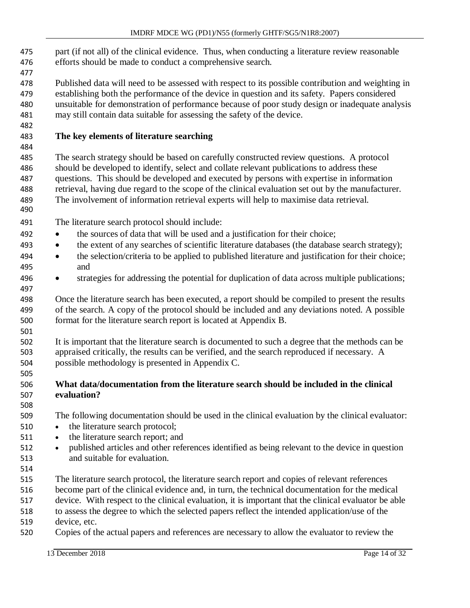- part (if not all) of the clinical evidence. Thus, when conducting a literature review reasonable efforts should be made to conduct a comprehensive search.
- 
- Published data will need to be assessed with respect to its possible contribution and weighting in establishing both the performance of the device in question and its safety. Papers considered unsuitable for demonstration of performance because of poor study design or inadequate analysis may still contain data suitable for assessing the safety of the device.

#### **The key elements of literature searching**

 The search strategy should be based on carefully constructed review questions. A protocol should be developed to identify, select and collate relevant publications to address these questions. This should be developed and executed by persons with expertise in information retrieval, having due regard to the scope of the clinical evaluation set out by the manufacturer. The involvement of information retrieval experts will help to maximise data retrieval.

- The literature search protocol should include:
- the sources of data that will be used and a justification for their choice;
- 493 the extent of any searches of scientific literature databases (the database search strategy);
- the selection/criteria to be applied to published literature and justification for their choice; and
- strategies for addressing the potential for duplication of data across multiple publications;

 Once the literature search has been executed, a report should be compiled to present the results of the search. A copy of the protocol should be included and any deviations noted. A possible format for the literature search report is located at Appendix B.

 It is important that the literature search is documented to such a degree that the methods can be appraised critically, the results can be verified, and the search reproduced if necessary. A possible methodology is presented in Appendix C.

#### **What data/documentation from the literature search should be included in the clinical evaluation?**

The following documentation should be used in the clinical evaluation by the clinical evaluator:

- the literature search protocol;
- the literature search report; and
- published articles and other references identified as being relevant to the device in question and suitable for evaluation.
- The literature search protocol, the literature search report and copies of relevant references
- become part of the clinical evidence and, in turn, the technical documentation for the medical
- device. With respect to the clinical evaluation, it is important that the clinical evaluator be able
- to assess the degree to which the selected papers reflect the intended application/use of the
- device, etc.
- Copies of the actual papers and references are necessary to allow the evaluator to review the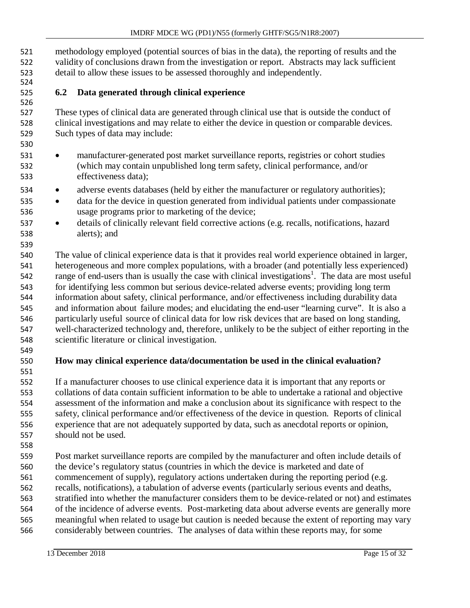methodology employed (potential sources of bias in the data), the reporting of results and the validity of conclusions drawn from the investigation or report. Abstracts may lack sufficient detail to allow these issues to be assessed thoroughly and independently.

#### <span id="page-14-0"></span>**6.2 Data generated through clinical experience**

 These types of clinical data are generated through clinical use that is outside the conduct of clinical investigations and may relate to either the device in question or comparable devices. Such types of data may include:

- manufacturer-generated post market surveillance reports, registries or cohort studies (which may contain unpublished long term safety, clinical performance, and/or effectiveness data);
- adverse events databases (held by either the manufacturer or regulatory authorities);
- data for the device in question generated from individual patients under compassionate usage programs prior to marketing of the device;
- details of clinically relevant field corrective actions (e.g. recalls, notifications, hazard alerts); and

 The value of clinical experience data is that it provides real world experience obtained in larger, heterogeneous and more complex populations, with a broader (and potentially less experienced) range of end-users than is usually the case with clinical investigations<sup>1</sup>. The data are most useful for identifying less common but serious device-related adverse events; providing long term information about safety, clinical performance, and/or effectiveness including durability data and information about failure modes; and elucidating the end-user "learning curve". It is also a particularly useful source of clinical data for low risk devices that are based on long standing, well-characterized technology and, therefore, unlikely to be the subject of either reporting in the scientific literature or clinical investigation.

#### **How may clinical experience data/documentation be used in the clinical evaluation?**

 If a manufacturer chooses to use clinical experience data it is important that any reports or collations of data contain sufficient information to be able to undertake a rational and objective assessment of the information and make a conclusion about its significance with respect to the safety, clinical performance and/or effectiveness of the device in question. Reports of clinical experience that are not adequately supported by data, such as anecdotal reports or opinion, should not be used.

 Post market surveillance reports are compiled by the manufacturer and often include details of the device's regulatory status (countries in which the device is marketed and date of 561 commencement of supply), regulatory actions undertaken during the reporting period (e.g. recalls, notifications), a tabulation of adverse events (particularly serious events and deaths, stratified into whether the manufacturer considers them to be device-related or not) and estimates of the incidence of adverse events. Post-marketing data about adverse events are generally more meaningful when related to usage but caution is needed because the extent of reporting may vary

considerably between countries. The analyses of data within these reports may, for some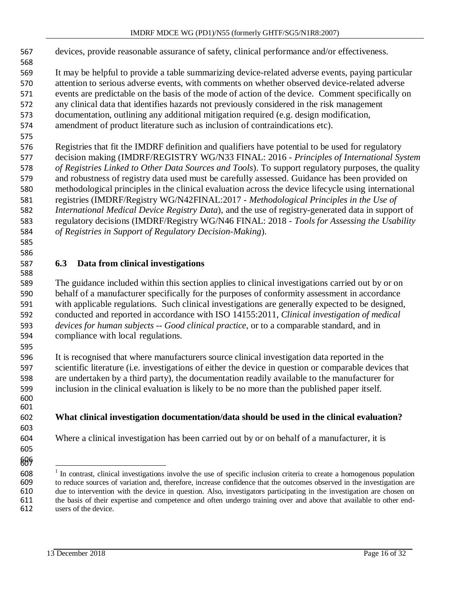devices, provide reasonable assurance of safety, clinical performance and/or effectiveness.

 It may be helpful to provide a table summarizing device-related adverse events, paying particular attention to serious adverse events, with comments on whether observed device-related adverse events are predictable on the basis of the mode of action of the device. Comment specifically on any clinical data that identifies hazards not previously considered in the risk management documentation, outlining any additional mitigation required (e.g. design modification,

amendment of product literature such as inclusion of contraindications etc).

 Registries that fit the IMDRF definition and qualifiers have potential to be used for regulatory decision making (IMDRF/REGISTRY WG/N33 FINAL: 2016 - *Principles of International System of Registries Linked to Other Data Sources and Tools*). To support regulatory purposes, the quality and robustness of registry data used must be carefully assessed. Guidance has been provided on methodological principles in the clinical evaluation across the device lifecycle using international registries (IMDRF/Registry WG/N42FINAL:2017 - *Methodological Principles in the Use of International Medical Device Registry Data*), and the use of registry-generated data in support of regulatory decisions (IMDRF/Registry WG/N46 FINAL: 2018 - *Tools for Assessing the Usability of Registries in Support of Regulatory Decision-Making*).

#### **6.3 Data from clinical investigations**

 

 607

 The guidance included within this section applies to clinical investigations carried out by or on behalf of a manufacturer specifically for the purposes of conformity assessment in accordance with applicable regulations. Such clinical investigations are generally expected to be designed, conducted and reported in accordance with ISO 14155:2011, *Clinical investigation of medical devices for human subjects -- Good clinical practice*, or to a comparable standard, and in compliance with local regulations.

 It is recognised that where manufacturers source clinical investigation data reported in the scientific literature (i.e. investigations of either the device in question or comparable devices that are undertaken by a third party), the documentation readily available to the manufacturer for inclusion in the clinical evaluation is likely to be no more than the published paper itself. 

#### **What clinical investigation documentation/data should be used in the clinical evaluation?**

Where a clinical investigation has been carried out by or on behalf of a manufacturer, it is

 <sup>I</sup> In contrast, clinical investigations involve the use of specific inclusion criteria to create a homogenous population to reduce sources of variation and, therefore, increase confidence that the outcomes observed in the investigation are due to intervention with the device in question. Also, investigators participating in the investigation are chosen on the basis of their expertise and competence and often undergo training over and above that available to other end-users of the device.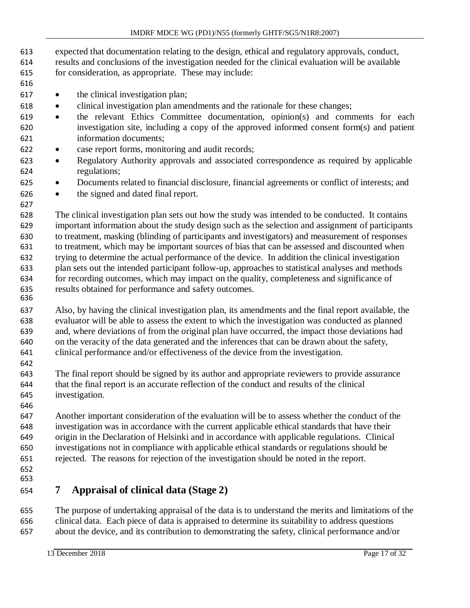- expected that documentation relating to the design, ethical and regulatory approvals, conduct, results and conclusions of the investigation needed for the clinical evaluation will be available
- for consideration, as appropriate. These may include:
- 

- the clinical investigation plan;
- clinical investigation plan amendments and the rationale for these changes;
- the relevant Ethics Committee documentation, opinion(s) and comments for each investigation site, including a copy of the approved informed consent form(s) and patient information documents;
- case report forms, monitoring and audit records;
- Regulatory Authority approvals and associated correspondence as required by applicable regulations;
- Documents related to financial disclosure, financial agreements or conflict of interests; and
- the signed and dated final report.

 The clinical investigation plan sets out how the study was intended to be conducted. It contains important information about the study design such as the selection and assignment of participants to treatment, masking (blinding of participants and investigators) and measurement of responses to treatment, which may be important sources of bias that can be assessed and discounted when trying to determine the actual performance of the device. In addition the clinical investigation plan sets out the intended participant follow-up, approaches to statistical analyses and methods for recording outcomes, which may impact on the quality, completeness and significance of results obtained for performance and safety outcomes. 

 Also, by having the clinical investigation plan, its amendments and the final report available, the evaluator will be able to assess the extent to which the investigation was conducted as planned and, where deviations of from the original plan have occurred, the impact those deviations had on the veracity of the data generated and the inferences that can be drawn about the safety, clinical performance and/or effectiveness of the device from the investigation.

 The final report should be signed by its author and appropriate reviewers to provide assurance that the final report is an accurate reflection of the conduct and results of the clinical investigation.

 Another important consideration of the evaluation will be to assess whether the conduct of the investigation was in accordance with the current applicable ethical standards that have their origin in the Declaration of Helsinki and in accordance with applicable regulations. Clinical investigations not in compliance with applicable ethical standards or regulations should be rejected. The reasons for rejection of the investigation should be noted in the report.

 

# **7 Appraisal of clinical data (Stage 2)**

 The purpose of undertaking appraisal of the data is to understand the merits and limitations of the clinical data. Each piece of data is appraised to determine its suitability to address questions about the device, and its contribution to demonstrating the safety, clinical performance and/or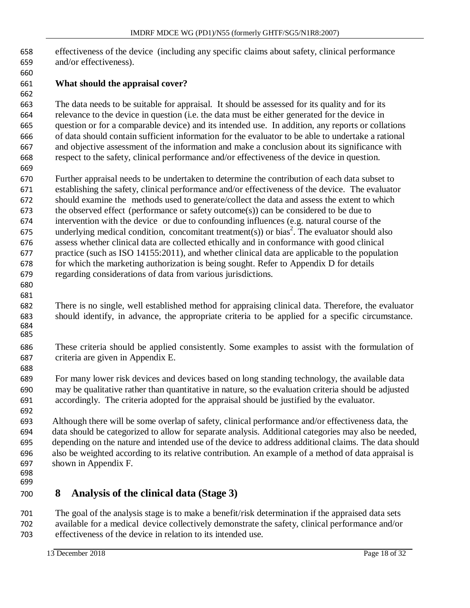effectiveness of the device (including any specific claims about safety, clinical performance and/or effectiveness).

#### **What should the appraisal cover?**

 The data needs to be suitable for appraisal. It should be assessed for its quality and for its relevance to the device in question (i.e. the data must be either generated for the device in question or for a comparable device) and its intended use. In addition, any reports or collations of data should contain sufficient information for the evaluator to be able to undertake a rational and objective assessment of the information and make a conclusion about its significance with respect to the safety, clinical performance and/or effectiveness of the device in question.

 Further appraisal needs to be undertaken to determine the contribution of each data subset to establishing the safety, clinical performance and/or effectiveness of the device. The evaluator should examine the methods used to generate/collect the data and assess the extent to which the observed effect (performance or safety outcome(s)) can be considered to be due to intervention with the device or due to confounding influences (e.g. natural course of the 675 underlying medical condition, concomitant treatment(s)) or bias<sup>2</sup>. The evaluator should also assess whether clinical data are collected ethically and in conformance with good clinical practice (such as ISO 14155:2011), and whether clinical data are applicable to the population for which the marketing authorization is being sought. Refer to Appendix D for details regarding considerations of data from various jurisdictions.

 

 There is no single, well established method for appraising clinical data. Therefore, the evaluator should identify, in advance, the appropriate criteria to be applied for a specific circumstance. 

 These criteria should be applied consistently. Some examples to assist with the formulation of criteria are given in Appendix E.

 For many lower risk devices and devices based on long standing technology, the available data may be qualitative rather than quantitative in nature, so the evaluation criteria should be adjusted accordingly. The criteria adopted for the appraisal should be justified by the evaluator.

 Although there will be some overlap of safety, clinical performance and/or effectiveness data, the data should be categorized to allow for separate analysis. Additional categories may also be needed, depending on the nature and intended use of the device to address additional claims. The data should also be weighted according to its relative contribution. An example of a method of data appraisal is shown in Appendix F.

 

## **8 Analysis of the clinical data (Stage 3)**

 The goal of the analysis stage is to make a benefit/risk determination if the appraised data sets available for a medical device collectively demonstrate the safety, clinical performance and/or effectiveness of the device in relation to its intended use.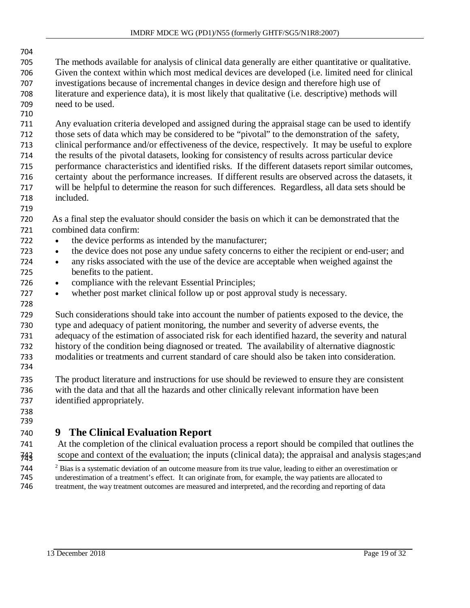- The methods available for analysis of clinical data generally are either quantitative or qualitative. Given the context within which most medical devices are developed (i.e. limited need for clinical investigations because of incremental changes in device design and therefore high use of literature and experience data), it is most likely that qualitative (i.e. descriptive) methods will need to be used.
- Any evaluation criteria developed and assigned during the appraisal stage can be used to identify those sets of data which may be considered to be "pivotal" to the demonstration of the safety, clinical performance and/or effectiveness of the device, respectively. It may be useful to explore the results of the pivotal datasets, looking for consistency of results across particular device performance characteristics and identified risks. If the different datasets report similar outcomes, certainty about the performance increases. If different results are observed across the datasets, it will be helpful to determine the reason for such differences. Regardless, all data sets should be included.
- As a final step the evaluator should consider the basis on which it can be demonstrated that the combined data confirm:
- the device performs as intended by the manufacturer;
- the device does not pose any undue safety concerns to either the recipient or end-user; and
- any risks associated with the use of the device are acceptable when weighed against the benefits to the patient.
- compliance with the relevant Essential Principles;
- whether post market clinical follow up or post approval study is necessary.
- Such considerations should take into account the number of patients exposed to the device, the type and adequacy of patient monitoring, the number and severity of adverse events, the adequacy of the estimation of associated risk for each identified hazard, the severity and natural history of the condition being diagnosed or treated. The availability of alternative diagnostic modalities or treatments and current standard of care should also be taken into consideration.
- The product literature and instructions for use should be reviewed to ensure they are consistent with the data and that all the hazards and other clinically relevant information have been identified appropriately.
- 

# **9 The Clinical Evaluation Report**

 At the completion of the clinical evaluation process a report should be compiled that outlines the <sup>742</sup> scope and context of the evaluation; the inputs (clinical data); the appraisal and analysis stages;and

<sup>2</sup> Bias is a systematic deviation of an outcome measure from its true value, leading to either an overestimation or<br>745 degreestimation of a treatment's effect. It can originate from, for example, the way patients are all underestimation of a treatment's effect. It can originate from, for example, the way patients are allocated to treatment, the way treatment outcomes are measured and interpreted, and the recording and reporting of data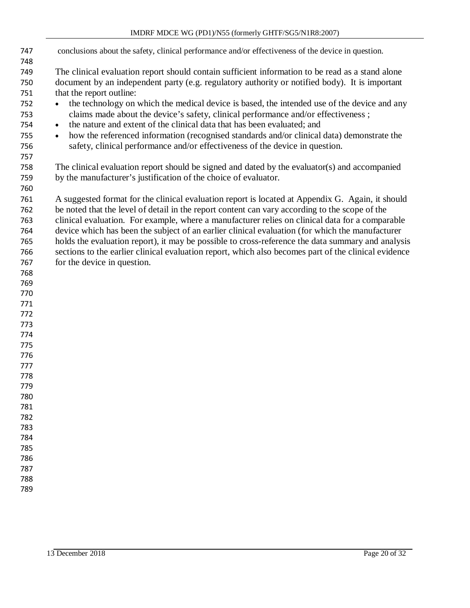#### IMDRF MDCE WG (PD1)/N55 (formerly GHTF/SG5/N1R8:2007)

- conclusions about the safety, clinical performance and/or effectiveness of the device in question. The clinical evaluation report should contain sufficient information to be read as a stand alone document by an independent party (e.g. regulatory authority or notified body). It is important that the report outline: <sup>752</sup> • the technology on which the medical device is based, the intended use of the device and any claims made about the device's safety, clinical performance and/or effectiveness ; • the nature and extent of the clinical data that has been evaluated; and • how the referenced information (recognised standards and/or clinical data) demonstrate the safety, clinical performance and/or effectiveness of the device in question. The clinical evaluation report should be signed and dated by the evaluator(s) and accompanied by the manufacturer's justification of the choice of evaluator. A suggested format for the clinical evaluation report is located at Appendix G. Again, it should be noted that the level of detail in the report content can vary according to the scope of the clinical evaluation. For example, where a manufacturer relies on clinical data for a comparable device which has been the subject of an earlier clinical evaluation (for which the manufacturer holds the evaluation report), it may be possible to cross-reference the data summary and analysis sections to the earlier clinical evaluation report, which also becomes part of the clinical evidence for the device in question.
- 
-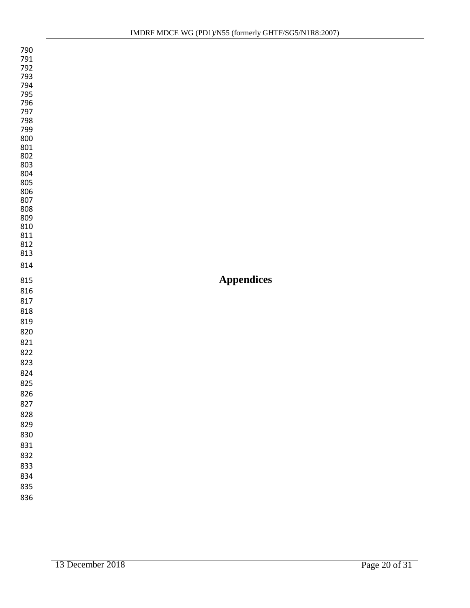<span id="page-20-0"></span>

| 790<br>791<br>792<br>793<br>794<br>795<br>796<br>797<br>798<br>799<br>800<br>801<br>802<br>803<br>804<br>805<br>806<br>807<br>808<br>809<br>810<br>811<br>812<br>813 |                   |
|----------------------------------------------------------------------------------------------------------------------------------------------------------------------|-------------------|
| 814                                                                                                                                                                  |                   |
| 815                                                                                                                                                                  | <b>Appendices</b> |
|                                                                                                                                                                      |                   |
| 816                                                                                                                                                                  |                   |
| 817                                                                                                                                                                  |                   |
| 818                                                                                                                                                                  |                   |
| 819                                                                                                                                                                  |                   |
| 820                                                                                                                                                                  |                   |
| 821                                                                                                                                                                  |                   |
| 822                                                                                                                                                                  |                   |
| 823                                                                                                                                                                  |                   |
| 824                                                                                                                                                                  |                   |
| 825                                                                                                                                                                  |                   |
| 826                                                                                                                                                                  |                   |
| 827                                                                                                                                                                  |                   |
| 828                                                                                                                                                                  |                   |
| 829                                                                                                                                                                  |                   |
| 830                                                                                                                                                                  |                   |
| 831                                                                                                                                                                  |                   |
| 832                                                                                                                                                                  |                   |
| 833                                                                                                                                                                  |                   |
| 834                                                                                                                                                                  |                   |
| 835<br>836                                                                                                                                                           |                   |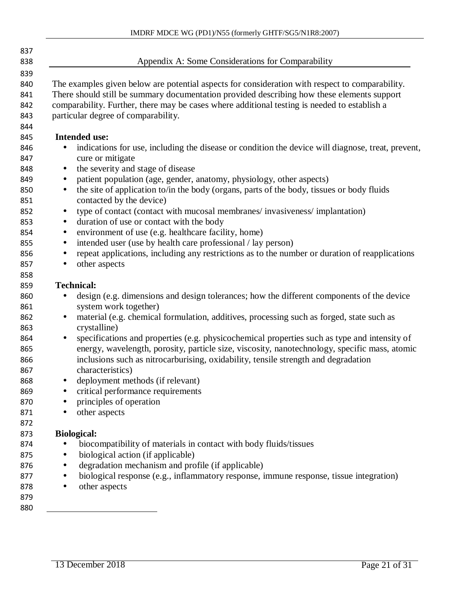| Appendix A: Some Considerations for Comparability                                                                                                                                                                                                                                                                                    |
|--------------------------------------------------------------------------------------------------------------------------------------------------------------------------------------------------------------------------------------------------------------------------------------------------------------------------------------|
| The examples given below are potential aspects for consideration with respect to comparability.<br>There should still be summary documentation provided describing how these elements support<br>comparability. Further, there may be cases where additional testing is needed to establish a<br>particular degree of comparability. |
| <b>Intended use:</b>                                                                                                                                                                                                                                                                                                                 |
| indications for use, including the disease or condition the device will diagnose, treat, prevent,<br>$\bullet$<br>cure or mitigate                                                                                                                                                                                                   |
| the severity and stage of disease<br>$\bullet$                                                                                                                                                                                                                                                                                       |
| patient population (age, gender, anatomy, physiology, other aspects)<br>$\bullet$                                                                                                                                                                                                                                                    |
| the site of application to/in the body (organs, parts of the body, tissues or body fluids<br>$\bullet$<br>contacted by the device)                                                                                                                                                                                                   |
| type of contact (contact with mucosal membranes/invasiveness/implantation)<br>$\bullet$                                                                                                                                                                                                                                              |
| duration of use or contact with the body<br>$\bullet$                                                                                                                                                                                                                                                                                |
| environment of use (e.g. healthcare facility, home)<br>$\bullet$                                                                                                                                                                                                                                                                     |
| intended user (use by health care professional / lay person)<br>$\bullet$                                                                                                                                                                                                                                                            |
| repeat applications, including any restrictions as to the number or duration of reapplications<br>$\bullet$                                                                                                                                                                                                                          |
| other aspects<br>$\bullet$                                                                                                                                                                                                                                                                                                           |
|                                                                                                                                                                                                                                                                                                                                      |
| <b>Technical:</b>                                                                                                                                                                                                                                                                                                                    |
| design (e.g. dimensions and design tolerances; how the different components of the device<br>$\bullet$                                                                                                                                                                                                                               |
| system work together)                                                                                                                                                                                                                                                                                                                |
| material (e.g. chemical formulation, additives, processing such as forged, state such as<br>$\bullet$                                                                                                                                                                                                                                |
| crystalline)                                                                                                                                                                                                                                                                                                                         |
| specifications and properties (e.g. physicochemical properties such as type and intensity of<br>$\bullet$<br>energy, wavelength, porosity, particle size, viscosity, nanotechnology, specific mass, atomic                                                                                                                           |
| inclusions such as nitrocarburising, oxidability, tensile strength and degradation<br>characteristics)                                                                                                                                                                                                                               |
| deployment methods (if relevant)<br>$\bullet$                                                                                                                                                                                                                                                                                        |
| critical performance requirements                                                                                                                                                                                                                                                                                                    |
| principles of operation                                                                                                                                                                                                                                                                                                              |
| other aspects<br>٠                                                                                                                                                                                                                                                                                                                   |
|                                                                                                                                                                                                                                                                                                                                      |
| <b>Biological:</b>                                                                                                                                                                                                                                                                                                                   |
| biocompatibility of materials in contact with body fluids/tissues                                                                                                                                                                                                                                                                    |
| biological action (if applicable)                                                                                                                                                                                                                                                                                                    |
| degradation mechanism and profile (if applicable)                                                                                                                                                                                                                                                                                    |
| biological response (e.g., inflammatory response, immune response, tissue integration)                                                                                                                                                                                                                                               |
| other aspects<br>٠                                                                                                                                                                                                                                                                                                                   |
|                                                                                                                                                                                                                                                                                                                                      |
|                                                                                                                                                                                                                                                                                                                                      |
|                                                                                                                                                                                                                                                                                                                                      |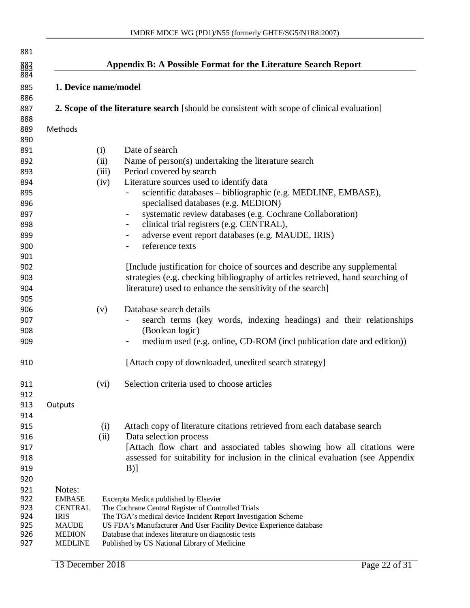|                               |             | Appendix B: A Possible Format for the Literature Search Report                                                      |
|-------------------------------|-------------|---------------------------------------------------------------------------------------------------------------------|
| 1. Device name/model          |             |                                                                                                                     |
|                               |             | <b>2. Scope of the literature search</b> [should be consistent with scope of clinical evaluation]                   |
| Methods                       |             |                                                                                                                     |
|                               | (i)         | Date of search                                                                                                      |
|                               | (ii)        | Name of person(s) undertaking the literature search                                                                 |
|                               | (iii)       | Period covered by search                                                                                            |
|                               | (iv)        | Literature sources used to identify data                                                                            |
|                               |             | scientific databases - bibliographic (e.g. MEDLINE, EMBASE),<br>specialised databases (e.g. MEDION)                 |
|                               |             | systematic review databases (e.g. Cochrane Collaboration)<br>$\blacksquare$                                         |
|                               |             | clinical trial registers (e.g. CENTRAL),<br>-                                                                       |
|                               |             | adverse event report databases (e.g. MAUDE, IRIS)<br>-<br>reference texts<br>$\blacksquare$                         |
|                               |             |                                                                                                                     |
|                               |             | [Include justification for choice of sources and describe any supplemental                                          |
|                               |             | strategies (e.g. checking bibliography of articles retrieved, hand searching of                                     |
|                               |             | literature) used to enhance the sensitivity of the search]                                                          |
|                               |             |                                                                                                                     |
|                               | (v)         | Database search details                                                                                             |
|                               |             | search terms (key words, indexing headings) and their relationships                                                 |
|                               |             | (Boolean logic)                                                                                                     |
|                               |             | medium used (e.g. online, CD-ROM (incl publication date and edition))<br>۰                                          |
|                               |             | [Attach copy of downloaded, unedited search strategy]                                                               |
|                               | (vi)        | Selection criteria used to choose articles                                                                          |
|                               |             |                                                                                                                     |
| Outputs                       |             |                                                                                                                     |
|                               |             |                                                                                                                     |
|                               | (i)<br>(ii) | Attach copy of literature citations retrieved from each database search<br>Data selection process                   |
|                               |             | [Attach flow chart and associated tables showing how all citations were                                             |
|                               |             | assessed for suitability for inclusion in the clinical evaluation (see Appendix                                     |
|                               |             | $B)$ ]                                                                                                              |
|                               |             |                                                                                                                     |
| Notes:                        |             |                                                                                                                     |
| <b>EMBASE</b>                 |             | Excerpta Medica published by Elsevier                                                                               |
| <b>CENTRAL</b><br><b>IRIS</b> |             | The Cochrane Central Register of Controlled Trials<br>The TGA's medical device Incident Report Investigation Scheme |
| <b>MAUDE</b>                  |             | US FDA's Manufacturer And User Facility Device Experience database                                                  |
| <b>MEDION</b>                 |             | Database that indexes literature on diagnostic tests                                                                |
| <b>MEDLINE</b>                |             | Published by US National Library of Medicine                                                                        |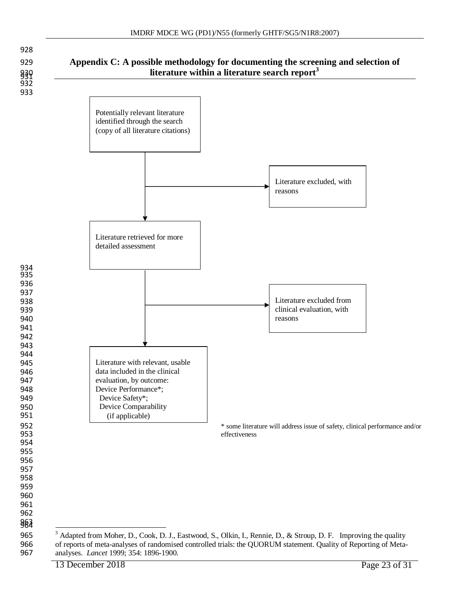





<sup>&</sup>lt;sup>3</sup> Adapted from Moher, D., Cook, D. J., Eastwood, S., Olkin, I., Rennie, D., & Stroup, D. F. Improving the quality of reports of meta-analyses of randomised controlled trials: the QUORUM statement. Quality of Reporting of 966 of reports of meta-analyses of randomised controlled trials: the QUORUM statement. Quality of Reporting of Meta-<br>967 analyses. *Lancet* 1999; 354: 1896-1900. analyses. *Lancet* 1999; 354: 1896-1900.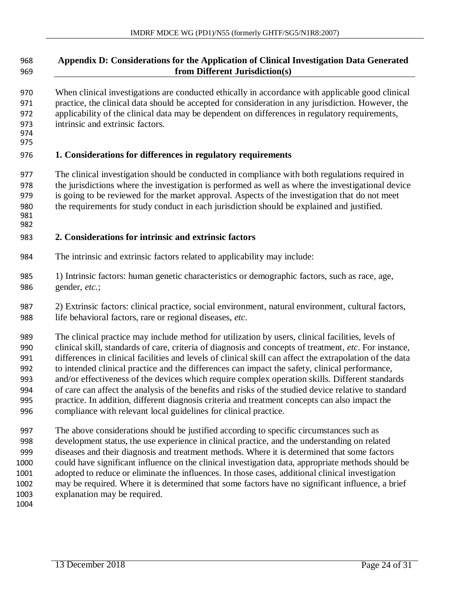| 968                                    | Appendix D: Considerations for the Application of Clinical Investigation Data Generated                                                                                                                                                                                                                                                                                                              |
|----------------------------------------|------------------------------------------------------------------------------------------------------------------------------------------------------------------------------------------------------------------------------------------------------------------------------------------------------------------------------------------------------------------------------------------------------|
| 969                                    | from Different Jurisdiction(s)                                                                                                                                                                                                                                                                                                                                                                       |
| 970<br>971<br>972<br>973<br>974<br>975 | When clinical investigations are conducted ethically in accordance with applicable good clinical<br>practice, the clinical data should be accepted for consideration in any jurisdiction. However, the<br>applicability of the clinical data may be dependent on differences in regulatory requirements,<br>intrinsic and extrinsic factors.                                                         |
| 976                                    | 1. Considerations for differences in regulatory requirements                                                                                                                                                                                                                                                                                                                                         |
| 977<br>978<br>979<br>980<br>981<br>982 | The clinical investigation should be conducted in compliance with both regulations required in<br>the jurisdictions where the investigation is performed as well as where the investigational device<br>is going to be reviewed for the market approval. Aspects of the investigation that do not meet<br>the requirements for study conduct in each jurisdiction should be explained and justified. |
| 983                                    | 2. Considerations for intrinsic and extrinsic factors                                                                                                                                                                                                                                                                                                                                                |
| 984                                    | The intrinsic and extrinsic factors related to applicability may include:                                                                                                                                                                                                                                                                                                                            |
| 985                                    | 1) Intrinsic factors: human genetic characteristics or demographic factors, such as race, age,                                                                                                                                                                                                                                                                                                       |
| 986                                    | gender, etc.;                                                                                                                                                                                                                                                                                                                                                                                        |
| 987                                    | 2) Extrinsic factors: clinical practice, social environment, natural environment, cultural factors,                                                                                                                                                                                                                                                                                                  |
| 988                                    | life behavioral factors, rare or regional diseases, etc.                                                                                                                                                                                                                                                                                                                                             |
| 989                                    | The clinical practice may include method for utilization by users, clinical facilities, levels of                                                                                                                                                                                                                                                                                                    |
| 990                                    | clinical skill, standards of care, criteria of diagnosis and concepts of treatment, etc. For instance,                                                                                                                                                                                                                                                                                               |
| 991                                    | differences in clinical facilities and levels of clinical skill can affect the extrapolation of the data                                                                                                                                                                                                                                                                                             |
| 992                                    | to intended clinical practice and the differences can impact the safety, clinical performance,                                                                                                                                                                                                                                                                                                       |
| 993                                    | and/or effectiveness of the devices which require complex operation skills. Different standards                                                                                                                                                                                                                                                                                                      |
| 994                                    | of care can affect the analysis of the benefits and risks of the studied device relative to standard                                                                                                                                                                                                                                                                                                 |
| 995                                    | practice. In addition, different diagnosis criteria and treatment concepts can also impact the                                                                                                                                                                                                                                                                                                       |
| 996                                    | compliance with relevant local guidelines for clinical practice.                                                                                                                                                                                                                                                                                                                                     |
| 997                                    | The above considerations should be justified according to specific circumstances such as                                                                                                                                                                                                                                                                                                             |
| 998                                    | development status, the use experience in clinical practice, and the understanding on related                                                                                                                                                                                                                                                                                                        |
| 999                                    | diseases and their diagnosis and treatment methods. Where it is determined that some factors                                                                                                                                                                                                                                                                                                         |
| 1000                                   | could have significant influence on the clinical investigation data, appropriate methods should be                                                                                                                                                                                                                                                                                                   |
| 1001                                   | adopted to reduce or eliminate the influences. In those cases, additional clinical investigation                                                                                                                                                                                                                                                                                                     |
| 1002                                   | may be required. Where it is determined that some factors have no significant influence, a brief                                                                                                                                                                                                                                                                                                     |

explanation may be required.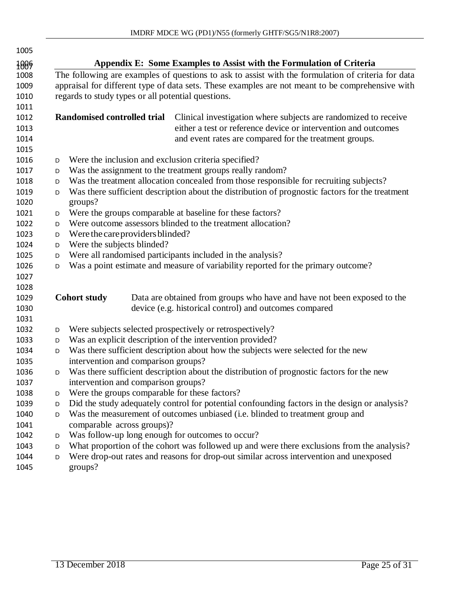| 1005 |   |                                                      |                                                                                                    |
|------|---|------------------------------------------------------|----------------------------------------------------------------------------------------------------|
| 1009 |   |                                                      | Appendix E: Some Examples to Assist with the Formulation of Criteria                               |
| 1008 |   |                                                      | The following are examples of questions to ask to assist with the formulation of criteria for data |
| 1009 |   |                                                      | appraisal for different type of data sets. These examples are not meant to be comprehensive with   |
| 1010 |   | regards to study types or all potential questions.   |                                                                                                    |
| 1011 |   |                                                      |                                                                                                    |
| 1012 |   | Randomised controlled trial                          | Clinical investigation where subjects are randomized to receive                                    |
| 1013 |   |                                                      | either a test or reference device or intervention and outcomes                                     |
| 1014 |   |                                                      | and event rates are compared for the treatment groups.                                             |
| 1015 |   |                                                      |                                                                                                    |
| 1016 | D | Were the inclusion and exclusion criteria specified? |                                                                                                    |
| 1017 | D |                                                      | Was the assignment to the treatment groups really random?                                          |
| 1018 | D |                                                      | Was the treatment allocation concealed from those responsible for recruiting subjects?             |
| 1019 | D |                                                      | Was there sufficient description about the distribution of prognostic factors for the treatment    |
| 1020 |   | groups?                                              |                                                                                                    |
| 1021 | D |                                                      | Were the groups comparable at baseline for these factors?                                          |
| 1022 | D |                                                      | Were outcome assessors blinded to the treatment allocation?                                        |
| 1023 | D | Were the care providers blinded?                     |                                                                                                    |
| 1024 | D | Were the subjects blinded?                           |                                                                                                    |
| 1025 | D |                                                      | Were all randomised participants included in the analysis?                                         |
| 1026 | D |                                                      | Was a point estimate and measure of variability reported for the primary outcome?                  |
| 1027 |   |                                                      |                                                                                                    |
| 1028 |   |                                                      |                                                                                                    |
| 1029 |   | <b>Cohort study</b>                                  | Data are obtained from groups who have and have not been exposed to the                            |
| 1030 |   |                                                      | device (e.g. historical control) and outcomes compared                                             |
| 1031 |   |                                                      |                                                                                                    |
| 1032 | D |                                                      | Were subjects selected prospectively or retrospectively?                                           |
| 1033 | D |                                                      | Was an explicit description of the intervention provided?                                          |
| 1034 | D |                                                      | Was there sufficient description about how the subjects were selected for the new                  |
| 1035 |   | intervention and comparison groups?                  |                                                                                                    |
| 1036 | D |                                                      | Was there sufficient description about the distribution of prognostic factors for the new          |
| 1037 |   | intervention and comparison groups?                  |                                                                                                    |
| 1038 | D | Were the groups comparable for these factors?        |                                                                                                    |
| 1039 | D |                                                      | Did the study adequately control for potential confounding factors in the design or analysis?      |
| 1040 | D |                                                      | Was the measurement of outcomes unbiased (i.e. blinded to treatment group and                      |
| 1041 |   | comparable across groups)?                           |                                                                                                    |
| 1042 | D | Was follow-up long enough for outcomes to occur?     |                                                                                                    |
| 1043 | D |                                                      | What proportion of the cohort was followed up and were there exclusions from the analysis?         |
| 1044 | D |                                                      | Were drop-out rates and reasons for drop-out similar across intervention and unexposed             |

groups?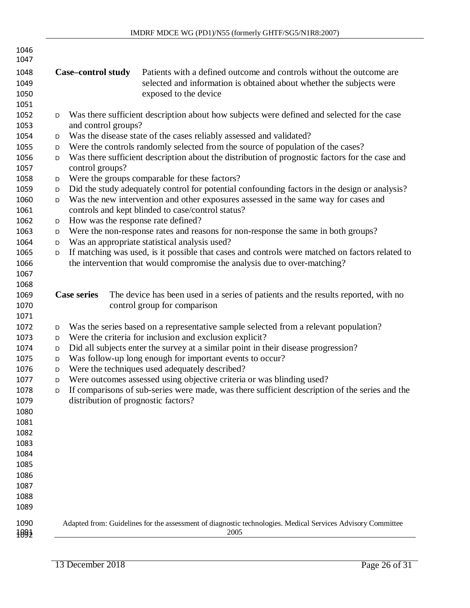| 1046<br>1047                 |   |                                     |                                                                                                                                                                       |
|------------------------------|---|-------------------------------------|-----------------------------------------------------------------------------------------------------------------------------------------------------------------------|
| 1048<br>1049<br>1050<br>1051 |   | <b>Case-control study</b>           | Patients with a defined outcome and controls without the outcome are<br>selected and information is obtained about whether the subjects were<br>exposed to the device |
| 1052                         | D |                                     | Was there sufficient description about how subjects were defined and selected for the case                                                                            |
| 1053                         |   | and control groups?                 |                                                                                                                                                                       |
| 1054                         | D |                                     | Was the disease state of the cases reliably assessed and validated?                                                                                                   |
| 1055                         | D |                                     | Were the controls randomly selected from the source of population of the cases?                                                                                       |
| 1056<br>1057                 | D | control groups?                     | Was there sufficient description about the distribution of prognostic factors for the case and                                                                        |
| 1058                         | D |                                     | Were the groups comparable for these factors?                                                                                                                         |
| 1059                         | D |                                     | Did the study adequately control for potential confounding factors in the design or analysis?                                                                         |
| 1060<br>1061                 | D |                                     | Was the new intervention and other exposures assessed in the same way for cases and<br>controls and kept blinded to case/control status?                              |
| 1062                         | D | How was the response rate defined?  |                                                                                                                                                                       |
| 1063                         | D |                                     | Were the non-response rates and reasons for non-response the same in both groups?                                                                                     |
| 1064                         | D |                                     | Was an appropriate statistical analysis used?                                                                                                                         |
| 1065                         | D |                                     | If matching was used, is it possible that cases and controls were matched on factors related to                                                                       |
| 1066                         |   |                                     | the intervention that would compromise the analysis due to over-matching?                                                                                             |
| 1067                         |   |                                     |                                                                                                                                                                       |
| 1068                         |   |                                     |                                                                                                                                                                       |
| 1069<br>1070                 |   | <b>Case series</b>                  | The device has been used in a series of patients and the results reported, with no<br>control group for comparison                                                    |
| 1071                         |   |                                     |                                                                                                                                                                       |
| 1072                         | D |                                     | Was the series based on a representative sample selected from a relevant population?                                                                                  |
| 1073                         | D |                                     | Were the criteria for inclusion and exclusion explicit?                                                                                                               |
| 1074                         | D |                                     | Did all subjects enter the survey at a similar point in their disease progression?                                                                                    |
| 1075                         | D |                                     | Was follow-up long enough for important events to occur?                                                                                                              |
| 1076                         | D |                                     | Were the techniques used adequately described?                                                                                                                        |
| 1077<br>1078                 | D |                                     | Were outcomes assessed using objective criteria or was blinding used?                                                                                                 |
| 1079                         | D | distribution of prognostic factors? | If comparisons of sub-series were made, was there sufficient description of the series and the                                                                        |
| 1080                         |   |                                     |                                                                                                                                                                       |
| 1081                         |   |                                     |                                                                                                                                                                       |
| 1082                         |   |                                     |                                                                                                                                                                       |
| 1083                         |   |                                     |                                                                                                                                                                       |
| 1084                         |   |                                     |                                                                                                                                                                       |
| 1085                         |   |                                     |                                                                                                                                                                       |
| 1086                         |   |                                     |                                                                                                                                                                       |
| 1087                         |   |                                     |                                                                                                                                                                       |
| 1088                         |   |                                     |                                                                                                                                                                       |
| 1089                         |   |                                     |                                                                                                                                                                       |
| 1090<br>1091                 |   |                                     | Adapted from: Guidelines for the assessment of diagnostic technologies. Medical Services Advisory Committee<br>2005                                                   |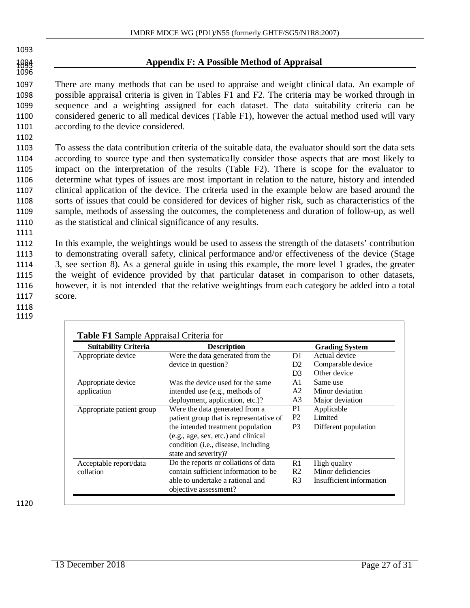1096<br>1096

1102

1111

#### Appendix F: A Possible Method of Appraisal

 There are many methods that can be used to appraise and weight clinical data. An example of possible appraisal criteria is given in Tables F1 and F2. The criteria may be worked through in sequence and a weighting assigned for each dataset. The data suitability criteria can be considered generic to all medical devices (Table F1), however the actual method used will vary according to the device considered.

 To assess the data contribution criteria of the suitable data, the evaluator should sort the data sets according to source type and then systematically consider those aspects that are most likely to impact on the interpretation of the results (Table F2). There is scope for the evaluator to determine what types of issues are most important in relation to the nature, history and intended clinical application of the device. The criteria used in the example below are based around the sorts of issues that could be considered for devices of higher risk, such as characteristics of the sample, methods of assessing the outcomes, the completeness and duration of follow-up, as well as the statistical and clinical significance of any results.

 In this example, the weightings would be used to assess the strength of the datasets' contribution to demonstrating overall safety, clinical performance and/or effectiveness of the device (Stage 3, see section 8). As a general guide in using this example, the more level 1 grades, the greater the weight of evidence provided by that particular dataset in comparison to other datasets, however, it is not intended that the relative weightings from each category be added into a total 1117 score.

1118 1119

| <b>Suitability Criteria</b> | <b>Description</b>                           |                | <b>Grading System</b>    |
|-----------------------------|----------------------------------------------|----------------|--------------------------|
| Appropriate device          | Were the data generated from the             | D1             | Actual device            |
|                             | device in question?                          | D <sub>2</sub> | Comparable device        |
|                             |                                              | D3             | Other device             |
| Appropriate device          | Was the device used for the same             | A1.            | Same use                 |
| application                 | intended use (e.g., methods of               | A2             | Minor deviation          |
|                             | deployment, application, etc.)?              | A3             | Major deviation          |
| Appropriate patient group   | Were the data generated from a               | P1             | Applicable               |
|                             | patient group that is representative of      | P <sub>2</sub> | Limited                  |
|                             | the intended treatment population            | P <sub>3</sub> | Different population     |
|                             | (e.g., age, sex, etc.) and clinical          |                |                          |
|                             | condition ( <i>i.e.</i> , disease, including |                |                          |
|                             | state and severity)?                         |                |                          |
| Acceptable report/data      | Do the reports or collations of data         | R1             | High quality             |
| collation                   | contain sufficient information to be         | R <sub>2</sub> | Minor deficiencies       |
|                             | able to undertake a rational and             | R <sub>3</sub> | Insufficient information |
|                             | objective assessment?                        |                |                          |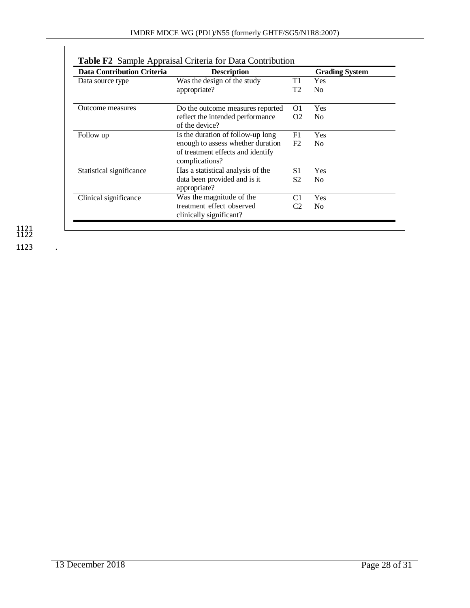| <b>Data Contribution Criteria</b> | <b>Description</b>                                   |                | <b>Grading System</b> |
|-----------------------------------|------------------------------------------------------|----------------|-----------------------|
| Data source type                  | Was the design of the study                          | T1             | <b>Yes</b>            |
|                                   | appropriate?                                         | T2             | N <sub>0</sub>        |
| Outcome measures                  | Do the outcome measures reported                     | O1             | <b>Yes</b>            |
|                                   | reflect the intended performance<br>of the device?   | O <sub>2</sub> | N <sub>0</sub>        |
| Follow up                         | Is the duration of follow-up long                    | F <sub>1</sub> | Yes                   |
|                                   | enough to assess whether duration                    | F2             | N <sub>0</sub>        |
|                                   | of treatment effects and identify<br>complications?  |                |                       |
| Statistical significance          | Has a statistical analysis of the                    | S <sub>1</sub> | Yes                   |
|                                   | data been provided and is it<br>appropriate?         | S <sub>2</sub> | N <sub>0</sub>        |
| Clinical significance             | Was the magnitude of the                             | C <sub>1</sub> | Yes                   |
|                                   | treatment effect observed<br>clinically significant? | C2             | N <sub>0</sub>        |

1121 1122 1123 .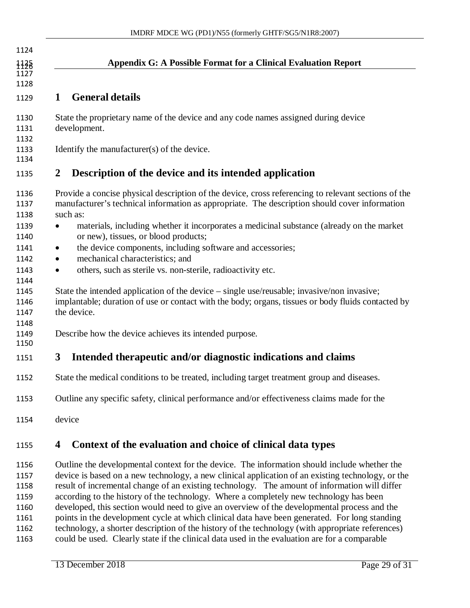| 1124                         |                                                                                                                                                                                                                  |
|------------------------------|------------------------------------------------------------------------------------------------------------------------------------------------------------------------------------------------------------------|
| 1128                         | <b>Appendix G: A Possible Format for a Clinical Evaluation Report</b>                                                                                                                                            |
| 1127<br>1128                 |                                                                                                                                                                                                                  |
| 1129                         | <b>General details</b><br>1                                                                                                                                                                                      |
| 1130<br>1131<br>1132         | State the proprietary name of the device and any code names assigned during device<br>development.                                                                                                               |
| 1133<br>1134                 | Identify the manufacturer(s) of the device.                                                                                                                                                                      |
| 1135                         | Description of the device and its intended application<br>2                                                                                                                                                      |
| 1136<br>1137<br>1138         | Provide a concise physical description of the device, cross referencing to relevant sections of the<br>manufacturer's technical information as appropriate. The description should cover information<br>such as: |
| 1139<br>1140                 | materials, including whether it incorporates a medicinal substance (already on the market<br>$\bullet$<br>or new), tissues, or blood products;                                                                   |
| 1141<br>1142                 | the device components, including software and accessories;<br>٠<br>mechanical characteristics; and<br>$\bullet$                                                                                                  |
| 1143<br>1144                 | others, such as sterile vs. non-sterile, radioactivity etc.<br>$\bullet$                                                                                                                                         |
| 1145<br>1146<br>1147<br>1148 | State the intended application of the device – single use/reusable; invasive/non invasive;<br>implantable; duration of use or contact with the body; organs, tissues or body fluids contacted by<br>the device.  |
| 1149<br>1150                 | Describe how the device achieves its intended purpose.                                                                                                                                                           |
| 1151                         | Intended therapeutic and/or diagnostic indications and claims<br>3                                                                                                                                               |
| 1152                         | State the medical conditions to be treated, including target treatment group and diseases.                                                                                                                       |
| 1153                         | Outline any specific safety, clinical performance and/or effectiveness claims made for the                                                                                                                       |
| 1154                         | device                                                                                                                                                                                                           |
| 1155                         | Context of the evaluation and choice of clinical data types<br>4                                                                                                                                                 |

 Outline the developmental context for the device. The information should include whether the device is based on a new technology, a new clinical application of an existing technology, or the result of incremental change of an existing technology. The amount of information will differ according to the history of the technology. Where a completely new technology has been developed, this section would need to give an overview of the developmental process and the points in the development cycle at which clinical data have been generated. For long standing technology, a shorter description of the history of the technology (with appropriate references) could be used. Clearly state if the clinical data used in the evaluation are for a comparable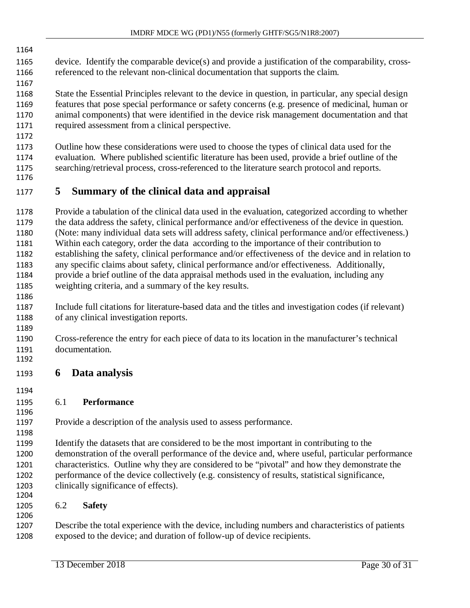- device. Identify the comparable device(s) and provide a justification of the comparability, cross-
- referenced to the relevant non-clinical documentation that supports the claim.

 State the Essential Principles relevant to the device in question, in particular, any special design features that pose special performance or safety concerns (e.g. presence of medicinal, human or animal components) that were identified in the device risk management documentation and that required assessment from a clinical perspective.

- Outline how these considerations were used to choose the types of clinical data used for the evaluation. Where published scientific literature has been used, provide a brief outline of the searching/retrieval process, cross-referenced to the literature search protocol and reports.
- 

## **5 Summary of the clinical data and appraisal**

 Provide a tabulation of the clinical data used in the evaluation, categorized according to whether the data address the safety, clinical performance and/or effectiveness of the device in question. (Note: many individual data sets will address safety, clinical performance and/or effectiveness.) Within each category, order the data according to the importance of their contribution to establishing the safety, clinical performance and/or effectiveness of the device and in relation to any specific claims about safety, clinical performance and/or effectiveness. Additionally, provide a brief outline of the data appraisal methods used in the evaluation, including any weighting criteria, and a summary of the key results.

- Include full citations for literature-based data and the titles and investigation codes (if relevant) of any clinical investigation reports.
- Cross-reference the entry for each piece of data to its location in the manufacturer's technical documentation.
- **6 Data analysis**
- 

#### 6.1 **Performance**

Provide a description of the analysis used to assess performance.

 Identify the datasets that are considered to be the most important in contributing to the demonstration of the overall performance of the device and, where useful, particular performance characteristics. Outline why they are considered to be "pivotal" and how they demonstrate the performance of the device collectively (e.g. consistency of results, statistical significance, clinically significance of effects). 

#### 6.2 **Safety**

 Describe the total experience with the device, including numbers and characteristics of patients exposed to the device; and duration of follow-up of device recipients.